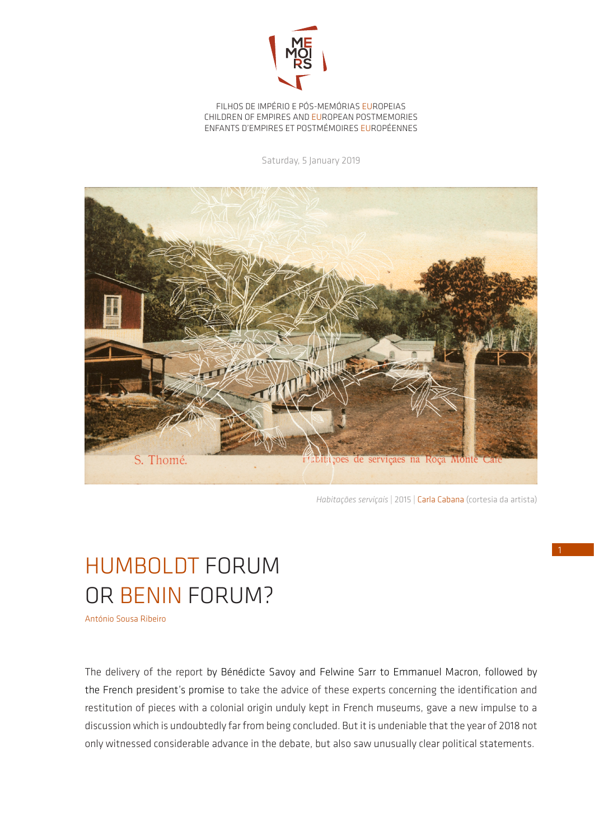

FILHOS DE IMPÉRIO E PÓS-MEMÓRIAS EUROPEIAS CHILDREN OF EMPIRES AND EUROPEAN POSTMEMORIES ENFANTS D'EMPIRES ET POSTMÉMOIRES EUROPÉENNES

Saturday, 5 January 2019



*Habitações serviçais* | 2015 | Carla Cabana (cortesia da artista)

## HUMBOLDT FORUM OR BENIN FORUM?

António Sousa Ribeiro

The delivery of the report by Bénédicte Savoy and Felwine Sarr to Emmanuel Macron, followed by the French president's promise to take the advice of these experts concerning the identification and restitution of pieces with a colonial origin unduly kept in French museums, gave a new impulse to a discussion which is undoubtedly far from being concluded. But it is undeniable that the year of 2018 not only witnessed considerable advance in the debate, but also saw unusually clear political statements.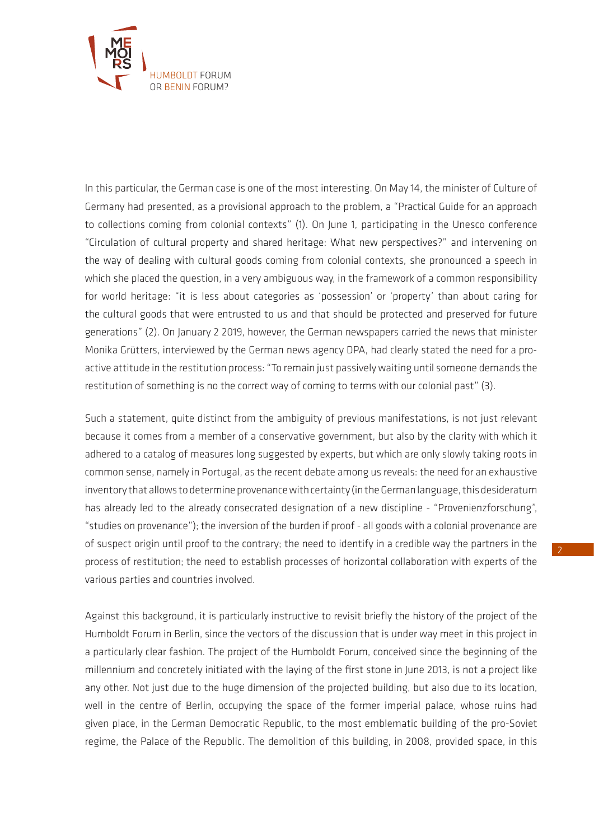

In this particular, the German case is one of the most interesting. On May 14, the minister of Culture of Germany had presented, as a provisional approach to the problem, a "Practical Guide for an approach to collections coming from colonial contexts" (1). On June 1, participating in the Unesco conference "Circulation of cultural property and shared heritage: What new perspectives?" and intervening on the way of dealing with cultural goods coming from colonial contexts, she pronounced a speech in which she placed the question, in a very ambiguous way, in the framework of a common responsibility for world heritage: "it is less about categories as 'possession' or 'property' than about caring for the cultural goods that were entrusted to us and that should be protected and preserved for future generations" (2). On January 2 2019, however, the German newspapers carried the news that minister Monika Grütters, interviewed by the German news agency DPA, had clearly stated the need for a proactive attitude in the restitution process: "To remain just passively waiting until someone demands the restitution of something is no the correct way of coming to terms with our colonial past" (3).

Such a statement, quite distinct from the ambiguity of previous manifestations, is not just relevant because it comes from a member of a conservative government, but also by the clarity with which it adhered to a catalog of measures long suggested by experts, but which are only slowly taking roots in common sense, namely in Portugal, as the recent debate among us reveals: the need for an exhaustive inventory that allows to determine provenance with certainty (in the German language, this desideratum has already led to the already consecrated designation of a new discipline - "Provenienzforschung", "studies on provenance"); the inversion of the burden if proof - all goods with a colonial provenance are of suspect origin until proof to the contrary; the need to identify in a credible way the partners in the process of restitution; the need to establish processes of horizontal collaboration with experts of the various parties and countries involved.

Against this background, it is particularly instructive to revisit briefly the history of the project of the Humboldt Forum in Berlin, since the vectors of the discussion that is under way meet in this project in a particularly clear fashion. The project of the Humboldt Forum, conceived since the beginning of the millennium and concretely initiated with the laying of the first stone in June 2013, is not a project like any other. Not just due to the huge dimension of the projected building, but also due to its location, well in the centre of Berlin, occupying the space of the former imperial palace, whose ruins had given place, in the German Democratic Republic, to the most emblematic building of the pro-Soviet regime, the Palace of the Republic. The demolition of this building, in 2008, provided space, in this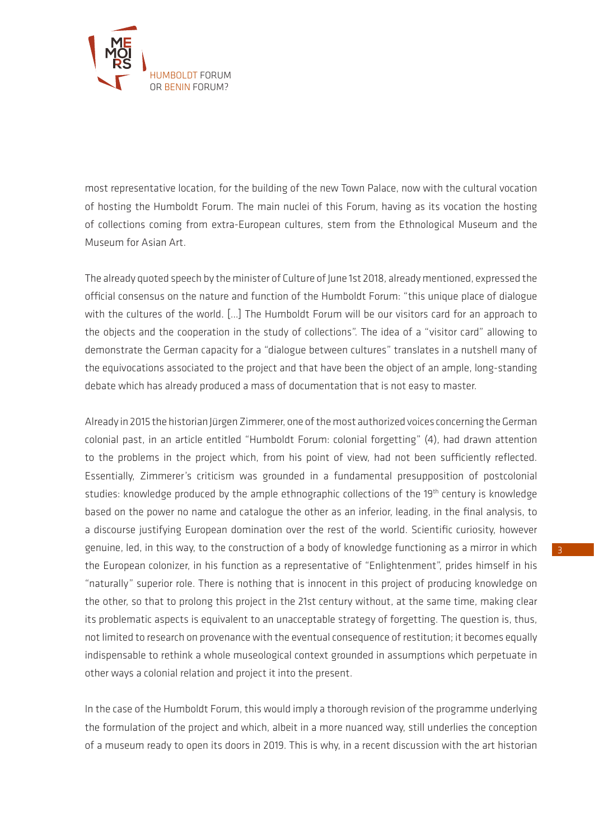

most representative location, for the building of the new Town Palace, now with the cultural vocation of hosting the Humboldt Forum. The main nuclei of this Forum, having as its vocation the hosting of collections coming from extra-European cultures, stem from the Ethnological Museum and the Museum for Asian Art.

The already quoted speech by the minister of Culture of June 1st 2018, already mentioned, expressed the official consensus on the nature and function of the Humboldt Forum: "this unique place of dialogue with the cultures of the world. […] The Humboldt Forum will be our visitors card for an approach to the objects and the cooperation in the study of collections". The idea of a "visitor card" allowing to demonstrate the German capacity for a "dialogue between cultures" translates in a nutshell many of the equivocations associated to the project and that have been the object of an ample, long-standing debate which has already produced a mass of documentation that is not easy to master.

Already in 2015 the historian Jürgen Zimmerer, one of the most authorized voices concerning the German colonial past, in an article entitled "Humboldt Forum: colonial forgetting" (4), had drawn attention to the problems in the project which, from his point of view, had not been sufficiently reflected. Essentially, Zimmerer's criticism was grounded in a fundamental presupposition of postcolonial studies: knowledge produced by the ample ethnographic collections of the 19<sup>th</sup> century is knowledge based on the power no name and catalogue the other as an inferior, leading, in the final analysis, to a discourse justifying European domination over the rest of the world. Scientific curiosity, however genuine, led, in this way, to the construction of a body of knowledge functioning as a mirror in which the European colonizer, in his function as a representative of "Enlightenment", prides himself in his "naturally" superior role. There is nothing that is innocent in this project of producing knowledge on the other, so that to prolong this project in the 21st century without, at the same time, making clear its problematic aspects is equivalent to an unacceptable strategy of forgetting. The question is, thus, not limited to research on provenance with the eventual consequence of restitution; it becomes equally indispensable to rethink a whole museological context grounded in assumptions which perpetuate in other ways a colonial relation and project it into the present.

In the case of the Humboldt Forum, this would imply a thorough revision of the programme underlying the formulation of the project and which, albeit in a more nuanced way, still underlies the conception of a museum ready to open its doors in 2019. This is why, in a recent discussion with the art historian